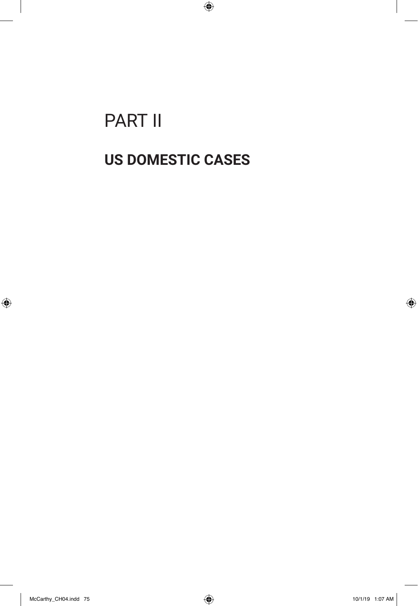# PART II **US DOMESTIC CASES**

 $\bigoplus$ 

 $\bigoplus$ 

 $\bigoplus$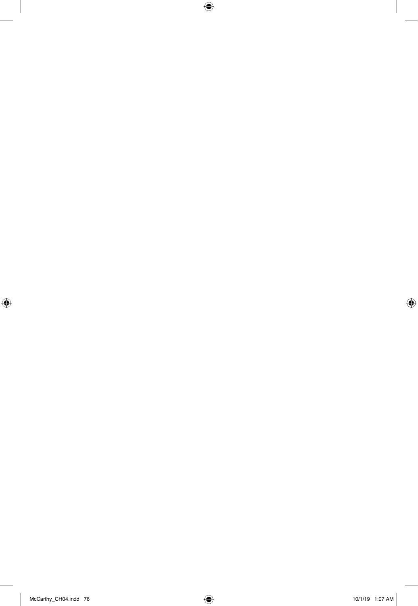

 $\bigoplus$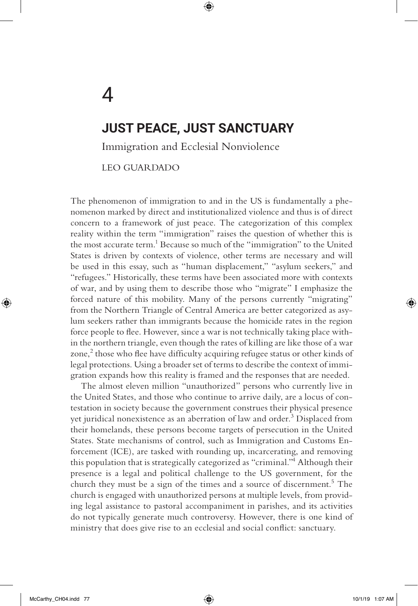# 4 **JUST PEACE, JUST SANCTUARY**

 $\textcircled{\scriptsize{+}}$ 

Immigration and Ecclesial Nonviolence

LEO GUARDADO

The phenomenon of immigration to and in the US is fundamentally a phenomenon marked by direct and institutionalized violence and thus is of direct concern to a framework of just peace. The categorization of this complex reality within the term "immigration" raises the question of whether this is the most accurate term.<sup>1</sup> Because so much of the "immigration" to the United States is driven by contexts of violence, other terms are necessary and will be used in this essay, such as "human displacement," "asylum seekers," and "refugees." Historically, these terms have been associated more with contexts of war, and by using them to describe those who "migrate" I emphasize the forced nature of this mobility. Many of the persons currently "migrating" from the Northern Triangle of Central America are better categorized as asylum seekers rather than immigrants because the homicide rates in the region force people to flee. However, since a war is not technically taking place within the northern triangle, even though the rates of killing are like those of a war zone,<sup>2</sup> those who flee have difficulty acquiring refugee status or other kinds of legal protections. Using a broader set of terms to describe the context of immigration expands how this reality is framed and the responses that are needed.

The almost eleven million "unauthorized" persons who currently live in the United States, and those who continue to arrive daily, are a locus of contestation in society because the government construes their physical presence yet juridical nonexistence as an aberration of law and order.<sup>3</sup> Displaced from their homelands, these persons become targets of persecution in the United States. State mechanisms of control, such as Immigration and Customs Enforcement (ICE), are tasked with rounding up, incarcerating, and removing this population that is strategically categorized as "criminal."4 Although their presence is a legal and political challenge to the US government, for the church they must be a sign of the times and a source of discernment.<sup>5</sup> The church is engaged with unauthorized persons at multiple levels, from providing legal assistance to pastoral accompaniment in parishes, and its activities do not typically generate much controversy. However, there is one kind of ministry that does give rise to an ecclesial and social conflict: sanctuary.

⊕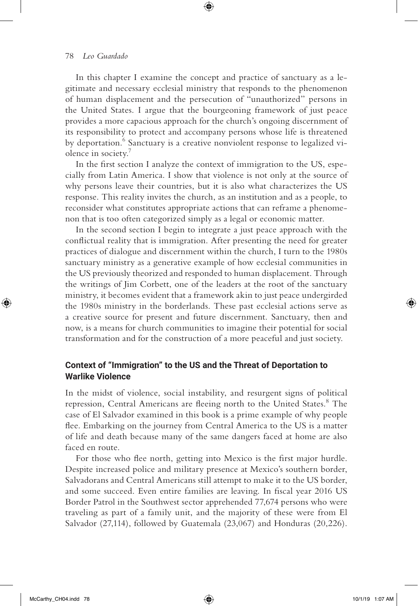In this chapter I examine the concept and practice of sanctuary as a legitimate and necessary ecclesial ministry that responds to the phenomenon of human displacement and the persecution of "unauthorized" persons in the United States. I argue that the bourgeoning framework of just peace provides a more capacious approach for the church's ongoing discernment of its responsibility to protect and accompany persons whose life is threatened by deportation.<sup>6</sup> Sanctuary is a creative nonviolent response to legalized violence in society.<sup>7</sup>

⊕

In the first section I analyze the context of immigration to the US, especially from Latin America. I show that violence is not only at the source of why persons leave their countries, but it is also what characterizes the US response. This reality invites the church, as an institution and as a people, to reconsider what constitutes appropriate actions that can reframe a phenomenon that is too often categorized simply as a legal or economic matter.

In the second section I begin to integrate a just peace approach with the conflictual reality that is immigration. After presenting the need for greater practices of dialogue and discernment within the church, I turn to the 1980s sanctuary ministry as a generative example of how ecclesial communities in the US previously theorized and responded to human displacement. Through the writings of Jim Corbett, one of the leaders at the root of the sanctuary ministry, it becomes evident that a framework akin to just peace undergirded the 1980s ministry in the borderlands. These past ecclesial actions serve as a creative source for present and future discernment. Sanctuary, then and now, is a means for church communities to imagine their potential for social transformation and for the construction of a more peaceful and just society.

# **Context of "Immigration" to the US and the Threat of Deportation to Warlike Violence**

In the midst of violence, social instability, and resurgent signs of political repression, Central Americans are fleeing north to the United States.<sup>8</sup> The case of El Salvador examined in this book is a prime example of why people flee. Embarking on the journey from Central America to the US is a matter of life and death because many of the same dangers faced at home are also faced en route.

For those who flee north, getting into Mexico is the first major hurdle. Despite increased police and military presence at Mexico's southern border, Salvadorans and Central Americans still attempt to make it to the US border, and some succeed. Even entire families are leaving. In fiscal year 2016 US Border Patrol in the Southwest sector apprehended 77,674 persons who were traveling as part of a family unit, and the majority of these were from El Salvador (27,114), followed by Guatemala (23,067) and Honduras (20,226).

⊕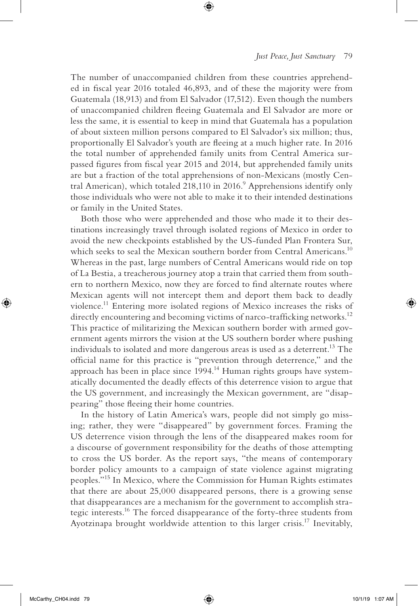# *Just Peace, Just Sanctuary* 79

The number of unaccompanied children from these countries apprehended in fiscal year 2016 totaled 46,893, and of these the majority were from Guatemala (18,913) and from El Salvador (17,512). Even though the numbers of unaccompanied children fleeing Guatemala and El Salvador are more or less the same, it is essential to keep in mind that Guatemala has a population of about sixteen million persons compared to El Salvador's six million; thus, proportionally El Salvador's youth are fleeing at a much higher rate. In 2016 the total number of apprehended family units from Central America surpassed figures from fiscal year 2015 and 2014, but apprehended family units are but a fraction of the total apprehensions of non-Mexicans (mostly Central American), which totaled 218,110 in 2016.<sup>9</sup> Apprehensions identify only those individuals who were not able to make it to their intended destinations or family in the United States.

⊕

Both those who were apprehended and those who made it to their destinations increasingly travel through isolated regions of Mexico in order to avoid the new checkpoints established by the US-funded Plan Frontera Sur, which seeks to seal the Mexican southern border from Central Americans.<sup>10</sup> Whereas in the past, large numbers of Central Americans would ride on top of La Bestia, a treacherous journey atop a train that carried them from southern to northern Mexico, now they are forced to find alternate routes where Mexican agents will not intercept them and deport them back to deadly violence.<sup>11</sup> Entering more isolated regions of Mexico increases the risks of directly encountering and becoming victims of narco-trafficking networks.<sup>12</sup> This practice of militarizing the Mexican southern border with armed government agents mirrors the vision at the US southern border where pushing individuals to isolated and more dangerous areas is used as a deterrent.<sup>13</sup> The official name for this practice is "prevention through deterrence," and the approach has been in place since  $1994<sup>14</sup>$  Human rights groups have systematically documented the deadly effects of this deterrence vision to argue that the US government, and increasingly the Mexican government, are "disappearing" those fleeing their home countries.

In the history of Latin America's wars, people did not simply go missing; rather, they were "disappeared" by government forces. Framing the US deterrence vision through the lens of the disappeared makes room for a discourse of government responsibility for the deaths of those attempting to cross the US border. As the report says, "the means of contemporary border policy amounts to a campaign of state violence against migrating peoples."15 In Mexico, where the Commission for Human Rights estimates that there are about 25,000 disappeared persons, there is a growing sense that disappearances are a mechanism for the government to accomplish strategic interests.<sup>16</sup> The forced disappearance of the forty-three students from Ayotzinapa brought worldwide attention to this larger crisis.<sup>17</sup> Inevitably,

⊕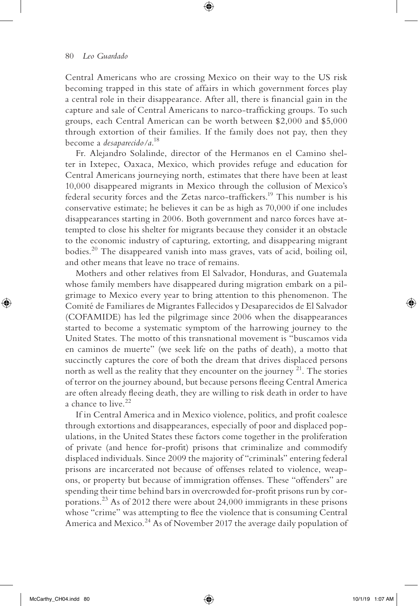Central Americans who are crossing Mexico on their way to the US risk becoming trapped in this state of affairs in which government forces play a central role in their disappearance. After all, there is financial gain in the capture and sale of Central Americans to narco-trafficking groups. To such groups, each Central American can be worth between \$2,000 and \$5,000 through extortion of their families. If the family does not pay, then they become a *desaparecido/a*. 18

⊕

Fr. Alejandro Solalinde, director of the Hermanos en el Camino shelter in Ixtepec, Oaxaca, Mexico, which provides refuge and education for Central Americans journeying north, estimates that there have been at least 10,000 disappeared migrants in Mexico through the collusion of Mexico's federal security forces and the Zetas narco-traffickers.<sup>19</sup> This number is his conservative estimate; he believes it can be as high as 70,000 if one includes disappearances starting in 2006. Both government and narco forces have attempted to close his shelter for migrants because they consider it an obstacle to the economic industry of capturing, extorting, and disappearing migrant bodies.20 The disappeared vanish into mass graves, vats of acid, boiling oil, and other means that leave no trace of remains.

Mothers and other relatives from El Salvador, Honduras, and Guatemala whose family members have disappeared during migration embark on a pilgrimage to Mexico every year to bring attention to this phenomenon. The Comité de Familiares de Migrantes Fallecidos y Desaparecidos de El Salvador (COFAMIDE) has led the pilgrimage since 2006 when the disappearances started to become a systematic symptom of the harrowing journey to the United States. The motto of this transnational movement is "buscamos vida en caminos de muerte" (we seek life on the paths of death), a motto that succinctly captures the core of both the dream that drives displaced persons north as well as the reality that they encounter on the journey  $21$ . The stories of terror on the journey abound, but because persons fleeing Central America are often already fleeing death, they are willing to risk death in order to have a chance to live.<sup>22</sup>

If in Central America and in Mexico violence, politics, and profit coalesce through extortions and disappearances, especially of poor and displaced populations, in the United States these factors come together in the proliferation of private (and hence for-profit) prisons that criminalize and commodify displaced individuals. Since 2009 the majority of "criminals" entering federal prisons are incarcerated not because of offenses related to violence, weapons, or property but because of immigration offenses. These "offenders" are spending their time behind bars in overcrowded for-profit prisons run by corporations.<sup>23</sup> As of 2012 there were about 24,000 immigrants in these prisons whose "crime" was attempting to flee the violence that is consuming Central America and Mexico.<sup>24</sup> As of November 2017 the average daily population of

⊕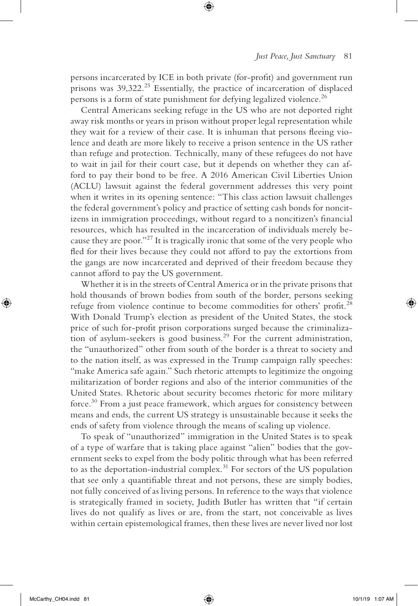persons incarcerated by ICE in both private (for-profit) and government run prisons was  $39,322$ <sup>25</sup> Essentially, the practice of incarceration of displaced persons is a form of state punishment for defying legalized violence.<sup>26</sup>

⊕

Central Americans seeking refuge in the US who are not deported right away risk months or years in prison without proper legal representation while they wait for a review of their case. It is inhuman that persons fleeing violence and death are more likely to receive a prison sentence in the US rather than refuge and protection. Technically, many of these refugees do not have to wait in jail for their court case, but it depends on whether they can afford to pay their bond to be free. A 2016 American Civil Liberties Union (ACLU) lawsuit against the federal government addresses this very point when it writes in its opening sentence: "This class action lawsuit challenges the federal government's policy and practice of setting cash bonds for noncitizens in immigration proceedings, without regard to a noncitizen's financial resources, which has resulted in the incarceration of individuals merely because they are poor."<sup>27</sup> It is tragically ironic that some of the very people who fled for their lives because they could not afford to pay the extortions from the gangs are now incarcerated and deprived of their freedom because they cannot afford to pay the US government.

Whether it is in the streets of Central America or in the private prisons that hold thousands of brown bodies from south of the border, persons seeking refuge from violence continue to become commodities for others' profit.<sup>28</sup> With Donald Trump's election as president of the United States, the stock price of such for-profit prison corporations surged because the criminalization of asylum-seekers is good business.<sup>29</sup> For the current administration, the "unauthorized" other from south of the border is a threat to society and to the nation itself, as was expressed in the Trump campaign rally speeches: "make America safe again." Such rhetoric attempts to legitimize the ongoing militarization of border regions and also of the interior communities of the United States. Rhetoric about security becomes rhetoric for more military force.<sup>30</sup> From a just peace framework, which argues for consistency between means and ends, the current US strategy is unsustainable because it seeks the ends of safety from violence through the means of scaling up violence.

To speak of "unauthorized" immigration in the United States is to speak of a type of warfare that is taking place against "alien" bodies that the government seeks to expel from the body politic through what has been referred to as the deportation-industrial complex.<sup>31</sup> For sectors of the US population that see only a quantifiable threat and not persons, these are simply bodies, not fully conceived of as living persons. In reference to the ways that violence is strategically framed in society, Judith Butler has written that "if certain lives do not qualify as lives or are, from the start, not conceivable as lives within certain epistemological frames, then these lives are never lived nor lost

⊕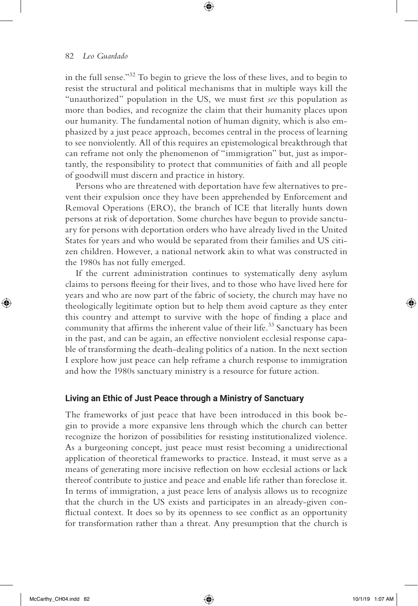in the full sense."32 To begin to grieve the loss of these lives, and to begin to resist the structural and political mechanisms that in multiple ways kill the "unauthorized" population in the US, we must first *see* this population as more than bodies, and recognize the claim that their humanity places upon our humanity. The fundamental notion of human dignity, which is also emphasized by a just peace approach, becomes central in the process of learning to see nonviolently. All of this requires an epistemological breakthrough that can reframe not only the phenomenon of "immigration" but, just as importantly, the responsibility to protect that communities of faith and all people of goodwill must discern and practice in history.

⊕

Persons who are threatened with deportation have few alternatives to prevent their expulsion once they have been apprehended by Enforcement and Removal Operations (ERO), the branch of ICE that literally hunts down persons at risk of deportation. Some churches have begun to provide sanctuary for persons with deportation orders who have already lived in the United States for years and who would be separated from their families and US citizen children. However, a national network akin to what was constructed in the 1980s has not fully emerged.

If the current administration continues to systematically deny asylum claims to persons fleeing for their lives, and to those who have lived here for years and who are now part of the fabric of society, the church may have no theologically legitimate option but to help them avoid capture as they enter this country and attempt to survive with the hope of finding a place and community that affirms the inherent value of their life.<sup>33</sup> Sanctuary has been in the past, and can be again, an effective nonviolent ecclesial response capable of transforming the death-dealing politics of a nation. In the next section I explore how just peace can help reframe a church response to immigration and how the 1980s sanctuary ministry is a resource for future action.

# **Living an Ethic of Just Peace through a Ministry of Sanctuary**

The frameworks of just peace that have been introduced in this book begin to provide a more expansive lens through which the church can better recognize the horizon of possibilities for resisting institutionalized violence. As a burgeoning concept, just peace must resist becoming a unidirectional application of theoretical frameworks to practice. Instead, it must serve as a means of generating more incisive reflection on how ecclesial actions or lack thereof contribute to justice and peace and enable life rather than foreclose it. In terms of immigration, a just peace lens of analysis allows us to recognize that the church in the US exists and participates in an already-given conflictual context. It does so by its openness to see conflict as an opportunity for transformation rather than a threat. Any presumption that the church is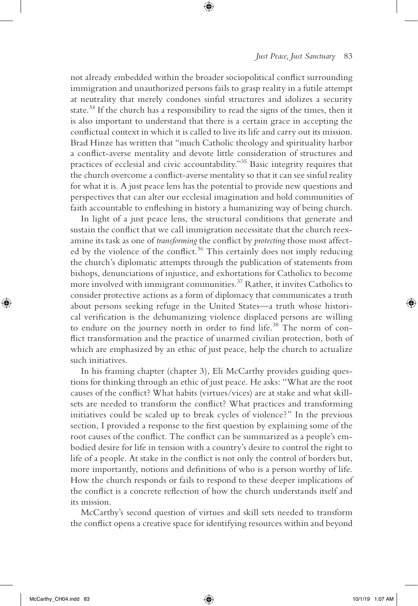# *Just Peace, Just Sanctuary* 83

not already embedded within the broader sociopolitical conflict surrounding immigration and unauthorized persons fails to grasp reality in a futile attempt at neutrality that merely condones sinful structures and idolizes a security state.<sup>34</sup> If the church has a responsibility to read the signs of the times, then it is also important to understand that there is a certain grace in accepting the conflictual context in which it is called to live its life and carry out its mission. Brad Hinze has written that "much Catholic theology and spirituality harbor a conflict-averse mentality and devote little consideration of structures and practices of ecclesial and civic accountability."35 Basic integrity requires that the church overcome a conflict-averse mentality so that it can see sinful reality for what it is. A just peace lens has the potential to provide new questions and perspectives that can alter our ecclesial imagination and hold communities of faith accountable to enfleshing in history a humanizing way of being church.

⊕

In light of a just peace lens, the structural conditions that generate and sustain the conflict that we call immigration necessitate that the church reexamine its task as one of *transforming* the conflict by *protecting* those most affected by the violence of the conflict.<sup>36</sup> This certainly does not imply reducing the church's diplomatic attempts through the publication of statements from bishops, denunciations of injustice, and exhortations for Catholics to become more involved with immigrant communities.<sup>37</sup> Rather, it invites Catholics to consider protective actions as a form of diplomacy that communicates a truth about persons seeking refuge in the United States—a truth whose historical verification is the dehumanizing violence displaced persons are willing to endure on the journey north in order to find life.<sup>38</sup> The norm of conflict transformation and the practice of unarmed civilian protection, both of which are emphasized by an ethic of just peace, help the church to actualize such initiatives.

In his framing chapter (chapter 3), Eli McCarthy provides guiding questions for thinking through an ethic of just peace. He asks: "What are the root causes of the conflict? What habits (virtues/vices) are at stake and what skillsets are needed to transform the conflict? What practices and transforming initiatives could be scaled up to break cycles of violence?" In the previous section, I provided a response to the first question by explaining some of the root causes of the conflict. The conflict can be summarized as a people's embodied desire for life in tension with a country's desire to control the right to life of a people. At stake in the conflict is not only the control of borders but, more importantly, notions and definitions of who is a person worthy of life. How the church responds or fails to respond to these deeper implications of the conflict is a concrete reflection of how the church understands itself and its mission.

McCarthy's second question of virtues and skill sets needed to transform the conflict opens a creative space for identifying resources within and beyond

⊕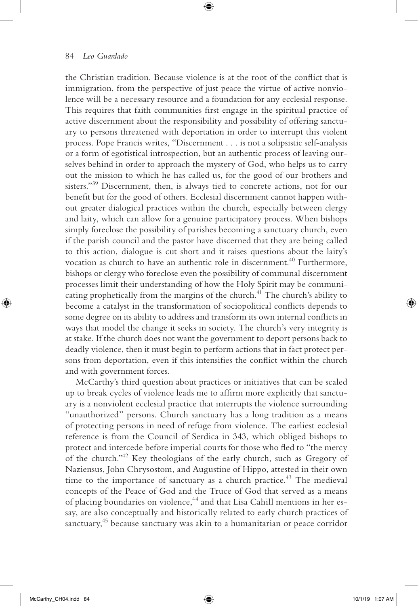the Christian tradition. Because violence is at the root of the conflict that is immigration, from the perspective of just peace the virtue of active nonviolence will be a necessary resource and a foundation for any ecclesial response. This requires that faith communities first engage in the spiritual practice of active discernment about the responsibility and possibility of offering sanctuary to persons threatened with deportation in order to interrupt this violent process. Pope Francis writes, "Discernment . . . is not a solipsistic self-analysis or a form of egotistical introspection, but an authentic process of leaving ourselves behind in order to approach the mystery of God, who helps us to carry out the mission to which he has called us, for the good of our brothers and sisters."<sup>39</sup> Discernment, then, is always tied to concrete actions, not for our benefit but for the good of others. Ecclesial discernment cannot happen without greater dialogical practices within the church, especially between clergy and laity, which can allow for a genuine participatory process. When bishops simply foreclose the possibility of parishes becoming a sanctuary church, even if the parish council and the pastor have discerned that they are being called to this action, dialogue is cut short and it raises questions about the laity's vocation as church to have an authentic role in discernment.<sup>40</sup> Furthermore, bishops or clergy who foreclose even the possibility of communal discernment processes limit their understanding of how the Holy Spirit may be communicating prophetically from the margins of the church.<sup>41</sup> The church's ability to become a catalyst in the transformation of sociopolitical conflicts depends to some degree on its ability to address and transform its own internal conflicts in ways that model the change it seeks in society. The church's very integrity is at stake. If the church does not want the government to deport persons back to deadly violence, then it must begin to perform actions that in fact protect persons from deportation, even if this intensifies the conflict within the church and with government forces.

⊕

McCarthy's third question about practices or initiatives that can be scaled up to break cycles of violence leads me to affirm more explicitly that sanctuary is a nonviolent ecclesial practice that interrupts the violence surrounding "unauthorized" persons. Church sanctuary has a long tradition as a means of protecting persons in need of refuge from violence. The earliest ecclesial reference is from the Council of Serdica in 343, which obliged bishops to protect and intercede before imperial courts for those who fled to "the mercy of the church."42 Key theologians of the early church, such as Gregory of Naziensus, John Chrysostom, and Augustine of Hippo, attested in their own time to the importance of sanctuary as a church practice.<sup>43</sup> The medieval concepts of the Peace of God and the Truce of God that served as a means of placing boundaries on violence,<sup>44</sup> and that Lisa Cahill mentions in her essay, are also conceptually and historically related to early church practices of sanctuary,<sup>45</sup> because sanctuary was akin to a humanitarian or peace corridor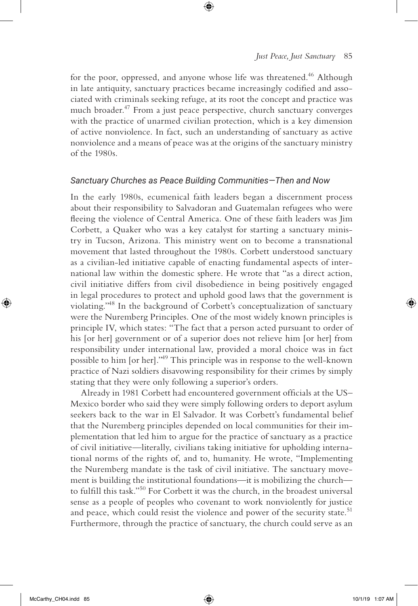for the poor, oppressed, and anyone whose life was threatened.<sup>46</sup> Although in late antiquity, sanctuary practices became increasingly codified and associated with criminals seeking refuge, at its root the concept and practice was much broader.<sup>47</sup> From a just peace perspective, church sanctuary converges with the practice of unarmed civilian protection, which is a key dimension of active nonviolence. In fact, such an understanding of sanctuary as active nonviolence and a means of peace was at the origins of the sanctuary ministry of the 1980s.

 $\textcircled{\scriptsize{+}}$ 

# *Sanctuary Churches as Peace Building Communities—Then and Now*

In the early 1980s, ecumenical faith leaders began a discernment process about their responsibility to Salvadoran and Guatemalan refugees who were fleeing the violence of Central America. One of these faith leaders was Jim Corbett, a Quaker who was a key catalyst for starting a sanctuary ministry in Tucson, Arizona. This ministry went on to become a transnational movement that lasted throughout the 1980s. Corbett understood sanctuary as a civilian-led initiative capable of enacting fundamental aspects of international law within the domestic sphere. He wrote that "as a direct action, civil initiative differs from civil disobedience in being positively engaged in legal procedures to protect and uphold good laws that the government is violating."48 In the background of Corbett's conceptualization of sanctuary were the Nuremberg Principles. One of the most widely known principles is principle IV, which states: "The fact that a person acted pursuant to order of his [or her] government or of a superior does not relieve him [or her] from responsibility under international law, provided a moral choice was in fact possible to him [or her]."49 This principle was in response to the well-known practice of Nazi soldiers disavowing responsibility for their crimes by simply stating that they were only following a superior's orders.

Already in 1981 Corbett had encountered government officials at the US– Mexico border who said they were simply following orders to deport asylum seekers back to the war in El Salvador. It was Corbett's fundamental belief that the Nuremberg principles depended on local communities for their implementation that led him to argue for the practice of sanctuary as a practice of civil initiative—literally, civilians taking initiative for upholding international norms of the rights of, and to, humanity. He wrote, "Implementing the Nuremberg mandate is the task of civil initiative. The sanctuary movement is building the institutional foundations—it is mobilizing the church to fulfill this task."50 For Corbett it was the church, in the broadest universal sense as a people of peoples who covenant to work nonviolently for justice and peace, which could resist the violence and power of the security state.<sup>51</sup> Furthermore, through the practice of sanctuary, the church could serve as an

⊕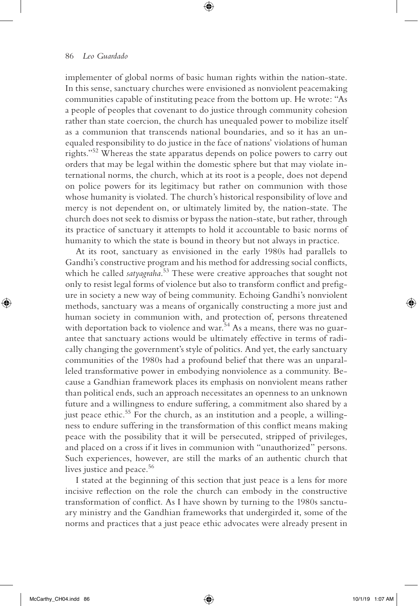implementer of global norms of basic human rights within the nation-state. In this sense, sanctuary churches were envisioned as nonviolent peacemaking communities capable of instituting peace from the bottom up. He wrote: "As a people of peoples that covenant to do justice through community cohesion rather than state coercion, the church has unequaled power to mobilize itself as a communion that transcends national boundaries, and so it has an unequaled responsibility to do justice in the face of nations' violations of human rights."<sup>52</sup> Whereas the state apparatus depends on police powers to carry out orders that may be legal within the domestic sphere but that may violate international norms, the church, which at its root is a people, does not depend on police powers for its legitimacy but rather on communion with those whose humanity is violated. The church's historical responsibility of love and mercy is not dependent on, or ultimately limited by, the nation-state. The church does not seek to dismiss or bypass the nation-state, but rather, through its practice of sanctuary it attempts to hold it accountable to basic norms of humanity to which the state is bound in theory but not always in practice.

⊕

At its root, sanctuary as envisioned in the early 1980s had parallels to Gandhi's constructive program and his method for addressing social conflicts, which he called *satyagraha*. 53 These were creative approaches that sought not only to resist legal forms of violence but also to transform conflict and prefigure in society a new way of being community. Echoing Gandhi's nonviolent methods, sanctuary was a means of organically constructing a more just and human society in communion with, and protection of, persons threatened with deportation back to violence and war.<sup>54</sup> As a means, there was no guarantee that sanctuary actions would be ultimately effective in terms of radically changing the government's style of politics. And yet, the early sanctuary communities of the 1980s had a profound belief that there was an unparalleled transformative power in embodying nonviolence as a community. Because a Gandhian framework places its emphasis on nonviolent means rather than political ends, such an approach necessitates an openness to an unknown future and a willingness to endure suffering, a commitment also shared by a just peace ethic.<sup>55</sup> For the church, as an institution and a people, a willingness to endure suffering in the transformation of this conflict means making peace with the possibility that it will be persecuted, stripped of privileges, and placed on a cross if it lives in communion with "unauthorized" persons. Such experiences, however, are still the marks of an authentic church that lives justice and peace.<sup>56</sup>

I stated at the beginning of this section that just peace is a lens for more incisive reflection on the role the church can embody in the constructive transformation of conflict. As I have shown by turning to the 1980s sanctuary ministry and the Gandhian frameworks that undergirded it, some of the norms and practices that a just peace ethic advocates were already present in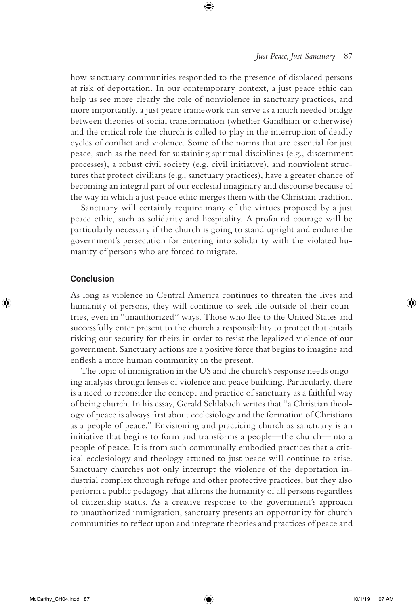# *Just Peace, Just Sanctuary* 87

how sanctuary communities responded to the presence of displaced persons at risk of deportation. In our contemporary context, a just peace ethic can help us see more clearly the role of nonviolence in sanctuary practices, and more importantly, a just peace framework can serve as a much needed bridge between theories of social transformation (whether Gandhian or otherwise) and the critical role the church is called to play in the interruption of deadly cycles of conflict and violence. Some of the norms that are essential for just peace, such as the need for sustaining spiritual disciplines (e.g., discernment processes), a robust civil society (e.g. civil initiative), and nonviolent structures that protect civilians (e.g., sanctuary practices), have a greater chance of becoming an integral part of our ecclesial imaginary and discourse because of the way in which a just peace ethic merges them with the Christian tradition.

⊕

Sanctuary will certainly require many of the virtues proposed by a just peace ethic, such as solidarity and hospitality. A profound courage will be particularly necessary if the church is going to stand upright and endure the government's persecution for entering into solidarity with the violated humanity of persons who are forced to migrate.

# **Conclusion**

⊕

As long as violence in Central America continues to threaten the lives and humanity of persons, they will continue to seek life outside of their countries, even in "unauthorized" ways. Those who flee to the United States and successfully enter present to the church a responsibility to protect that entails risking our security for theirs in order to resist the legalized violence of our government. Sanctuary actions are a positive force that begins to imagine and enflesh a more human community in the present.

The topic of immigration in the US and the church's response needs ongoing analysis through lenses of violence and peace building. Particularly, there is a need to reconsider the concept and practice of sanctuary as a faithful way of being church. In his essay, Gerald Schlabach writes that "a Christian theology of peace is always first about ecclesiology and the formation of Christians as a people of peace." Envisioning and practicing church as sanctuary is an initiative that begins to form and transforms a people—the church—into a people of peace. It is from such communally embodied practices that a critical ecclesiology and theology attuned to just peace will continue to arise. Sanctuary churches not only interrupt the violence of the deportation industrial complex through refuge and other protective practices, but they also perform a public pedagogy that affirms the humanity of all persons regardless of citizenship status. As a creative response to the government's approach to unauthorized immigration, sanctuary presents an opportunity for church communities to reflect upon and integrate theories and practices of peace and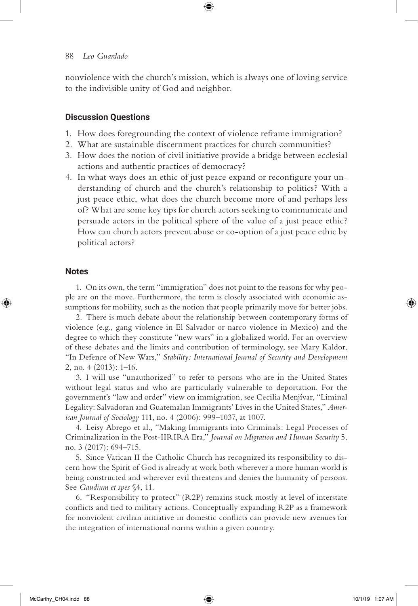nonviolence with the church's mission, which is always one of loving service to the indivisible unity of God and neighbor.

⊕

# **Discussion Questions**

- 1. How does foregrounding the context of violence reframe immigration?
- 2. What are sustainable discernment practices for church communities?
- 3. How does the notion of civil initiative provide a bridge between ecclesial actions and authentic practices of democracy?
- 4. In what ways does an ethic of just peace expand or reconfigure your understanding of church and the church's relationship to politics? With a just peace ethic, what does the church become more of and perhaps less of? What are some key tips for church actors seeking to communicate and persuade actors in the political sphere of the value of a just peace ethic? How can church actors prevent abuse or co-option of a just peace ethic by political actors?

# **Notes**

↔

1. On its own, the term "immigration" does not point to the reasons for why people are on the move. Furthermore, the term is closely associated with economic assumptions for mobility, such as the notion that people primarily move for better jobs.

2. There is much debate about the relationship between contemporary forms of violence (e.g., gang violence in El Salvador or narco violence in Mexico) and the degree to which they constitute "new wars" in a globalized world. For an overview of these debates and the limits and contribution of terminology, see Mary Kaldor, "In Defence of New Wars," *Stability: International Journal of Security and Development* 2, no. 4 (2013): 1–16.

3. I will use "unauthorized" to refer to persons who are in the United States without legal status and who are particularly vulnerable to deportation. For the government's "law and order" view on immigration, see Cecilia Menjívar, "Liminal Legality: Salvadoran and Guatemalan Immigrants' Lives in the United States," *American Journal of Sociology* 111, no. 4 (2006): 999–1037, at 1007.

4. Leisy Abrego et al., "Making Immigrants into Criminals: Legal Processes of Criminalization in the Post-IIRIRA Era," *Journal on Migration and Human Security* 5, no. 3 (2017): 694–715.

5. Since Vatican II the Catholic Church has recognized its responsibility to discern how the Spirit of God is already at work both wherever a more human world is being constructed and wherever evil threatens and denies the humanity of persons. See *Gaudium et spes* §4, 11.

6. "Responsibility to protect" (R2P) remains stuck mostly at level of interstate conflicts and tied to military actions. Conceptually expanding R2P as a framework for nonviolent civilian initiative in domestic conflicts can provide new avenues for the integration of international norms within a given country.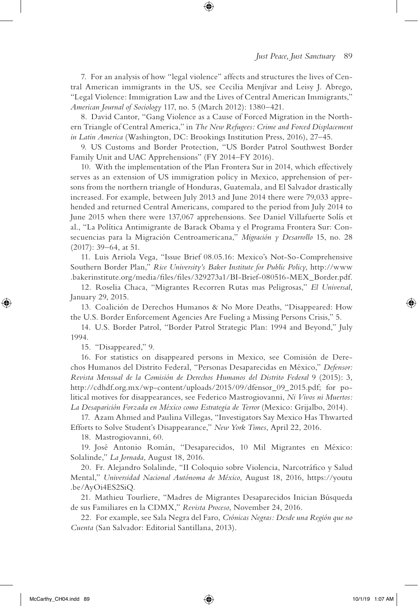7. For an analysis of how "legal violence" affects and structures the lives of Central American immigrants in the US, see Cecilia Menjívar and Leisy J. Abrego, "Legal Violence: Immigration Law and the Lives of Central American Immigrants," *American Journal of Sociology* 117, no. 5 (March 2012): 1380–421.

8. David Cantor, "Gang Violence as a Cause of Forced Migration in the Northern Triangle of Central America," in *The New Refugees: Crime and Forced Displacement in Latin America* (Washington, DC: Brookings Institution Press, 2016), 27–45.

9. US Customs and Border Protection, "US Border Patrol Southwest Border Family Unit and UAC Apprehensions" (FY 2014–FY 2016).

10. With the implementation of the Plan Frontera Sur in 2014, which effectively serves as an extension of US immigration policy in Mexico, apprehension of persons from the northern triangle of Honduras, Guatemala, and El Salvador drastically increased. For example, between July 2013 and June 2014 there were 79,033 apprehended and returned Central Americans, compared to the period from July 2014 to June 2015 when there were 137,067 apprehensions. See Daniel Villafuerte Solís et al., "La Política Antimigrante de Barack Obama y el Programa Frontera Sur: Consecuencias para la Migración Centroamericana," *Migración y Desarrollo* 15, no. 28 (2017): 39–64, at 51.

11. Luis Arriola Vega, "Issue Brief 08.05.16: Mexico's Not-So-Comprehensive Southern Border Plan," *Rice University's Baker Institute for Public Policy*, [http://www](http://www.bakerinstitute.org/media/files/files/329273a1/BI-Brief-080516-MEX_Border.pdf) [.bakerinstitute.org/media/files/files/329273a1/BI-Brief-080516-MEX\\_Border.pdf.](http://www.bakerinstitute.org/media/files/files/329273a1/BI-Brief-080516-MEX_Border.pdf)

12. Roselia Chaca, "Migrantes Recorren Rutas mas Peligrosas," *El Universal*, January 29, 2015.

13. Coalición de Derechos Humanos & No More Deaths, "Disappeared: How the U.S. Border Enforcement Agencies Are Fueling a Missing Persons Crisis," 5.

14. U.S. Border Patrol, "Border Patrol Strategic Plan: 1994 and Beyond," July 1994.

15. "Disappeared," 9.

16. For statistics on disappeared persons in Mexico, see Comisión de Derechos Humanos del Distrito Federal, "Personas Desaparecidas en México," *Defensor: Revista Mensual de la Comisión de Derechos Humanos del Distrito Federal* 9 (2015): 3, [http://cdhdf.org.mx/wp-content/uploads/2015/09/dfensor\\_09\\_2015.pdf](http://cdhdf.org.mx/wp-content/uploads/2015/09/dfensor_09_2015.pdf); for political motives for disappearances, see Federico Mastrogiovanni, *Ni Vivos ni Muertos: La Desaparición Forzada en México como Estrategia de Terror* (Mexico: Grijalbo, 2014).

17. Azam Ahmed and Paulina Villegas, "Investigators Say Mexico Has Thwarted Efforts to Solve Student's Disappearance," *New York Times*, April 22, 2016.

18. Mastrogiovanni, 60.

19. José Antonio Román, "Desaparecidos, 10 Mil Migrantes en México: Solalinde," *La Jornada*, August 18, 2016.

20. Fr. Alejandro Solalinde, "II Coloquio sobre Violencia, Narcotráfico y Salud Mental," *Universidad Nacional Autónoma de México*, August 18, 2016, [https://youtu](https://youtu.be/AyOi4ES2SiQ) [.be/AyOi4ES2SiQ.](https://youtu.be/AyOi4ES2SiQ)

21. Mathieu Tourliere, "Madres de Migrantes Desaparecidos Inician Búsqueda de sus Familiares en la CDMX," *Revista Proceso*, November 24, 2016.

22. For example, see Sala Negra del Faro, *Crónicas Negras: Desde una Región que no Cuenta* (San Salvador: Editorial Santillana, 2013).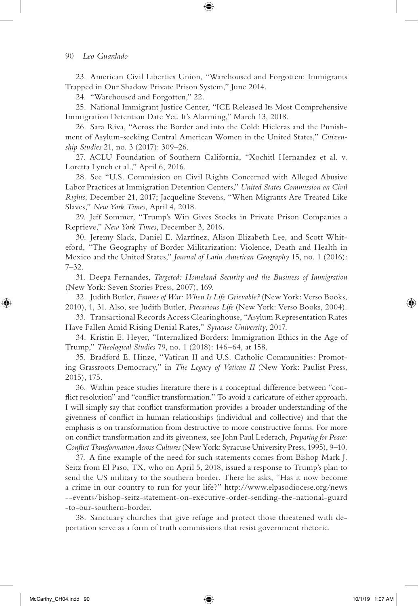23. American Civil Liberties Union, "Warehoused and Forgotten: Immigrants Trapped in Our Shadow Private Prison System," June 2014.

24. "Warehoused and Forgotten," 22.

25. National Immigrant Justice Center, "ICE Released Its Most Comprehensive Immigration Detention Date Yet. It's Alarming," March 13, 2018.

26. Sara Riva, "Across the Border and into the Cold: Hieleras and the Punishment of Asylum-seeking Central American Women in the United States," *Citizenship Studies* 21, no. 3 (2017): 309–26.

27. ACLU Foundation of Southern California, "Xochitl Hernandez et al. v. Loretta Lynch et al.," April 6, 2016.

28. See "U.S. Commission on Civil Rights Concerned with Alleged Abusive Labor Practices at Immigration Detention Centers," *United States Commission on Civil Rights*, December 21, 2017; Jacqueline Stevens, "When Migrants Are Treated Like Slaves," *New York Times*, April 4, 2018.

29. Jeff Sommer, "Trump's Win Gives Stocks in Private Prison Companies a Reprieve," *New York Times*, December 3, 2016.

30. Jeremy Slack, Daniel E. Martínez, Alison Elizabeth Lee, and Scott Whiteford, "The Geography of Border Militarization: Violence, Death and Health in Mexico and the United States," *Journal of Latin American Geography* 15, no. 1 (2016): 7–32.

31. Deepa Fernandes, *Targeted: Homeland Security and the Business of Immigration* (New York: Seven Stories Press, 2007), 169.

32. Judith Butler, *Frames of War: When Is Life Grievable?* (New York: Verso Books, 2010), 1, 31. Also, see Judith Butler, *Precarious Life* (New York: Verso Books, 2004).

33. Transactional Records Access Clearinghouse, "Asylum Representation Rates Have Fallen Amid Rising Denial Rates," *Syracuse University*, 2017.

34. Kristin E. Heyer, "Internalized Borders: Immigration Ethics in the Age of Trump," *Theological Studies* 79, no. 1 (2018): 146–64, at 158.

35. Bradford E. Hinze, "Vatican II and U.S. Catholic Communities: Promoting Grassroots Democracy," in *The Legacy of Vatican II* (New York: Paulist Press, 2015), 175.

36. Within peace studies literature there is a conceptual difference between "conflict resolution" and "conflict transformation." To avoid a caricature of either approach, I will simply say that conflict transformation provides a broader understanding of the givenness of conflict in human relationships (individual and collective) and that the emphasis is on transformation from destructive to more constructive forms. For more on conflict transformation and its givenness, see John Paul Lederach, *Preparing for Peace: Conflict Transformation Across Cultures* (New York: Syracuse University Press, 1995), 9–10.

37. A fine example of the need for such statements comes from Bishop Mark J. Seitz from El Paso, TX, who on April 5, 2018, issued a response to Trump's plan to send the US military to the southern border. There he asks, "Has it now become a crime in our country to run for your life?" [http://www.elpasodiocese.org/news](http://www.elpasodiocese.org/news--events/bishop-seitz-statement-on-executive-order-sending-the-national-guard-to-our-southern-border) [--events/bishop-seitz-statement-on-executive-order-sending-the-national-guard](http://www.elpasodiocese.org/news--events/bishop-seitz-statement-on-executive-order-sending-the-national-guard-to-our-southern-border) [-to-our-southern-border.](http://www.elpasodiocese.org/news--events/bishop-seitz-statement-on-executive-order-sending-the-national-guard-to-our-southern-border)

38. Sanctuary churches that give refuge and protect those threatened with deportation serve as a form of truth commissions that resist government rhetoric.

 $\bigoplus$ 

⇔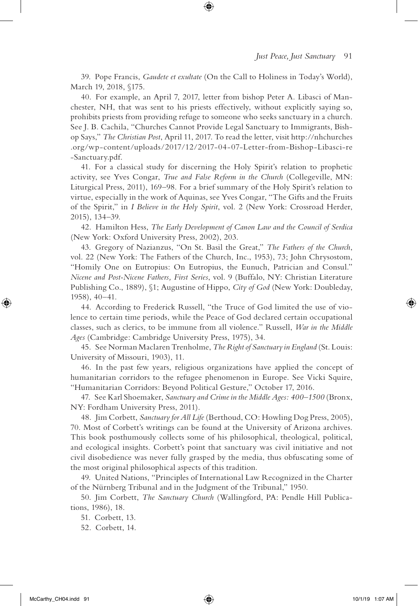39. Pope Francis, *Gaudete et exultate* (On the Call to Holiness in Today's World), March 19, 2018, §175.

⊕

40. For example, an April 7, 2017, letter from bishop Peter A. Libasci of Manchester, NH, that was sent to his priests effectively, without explicitly saying so, prohibits priests from providing refuge to someone who seeks sanctuary in a church. See J. B. Cachila, "Churches Cannot Provide Legal Sanctuary to Immigrants, Bishop Says," *The Christian Post*, April 11, 2017. To read the letter, visit [http://nhchurches](http://nhchurches.org/wp-content/uploads/2017/12/2017-04-07-Letter-from-Bishop-Libasci-re-Sanctuary.pdf) [.org/wp-content/uploads/2017/12/2017-04-07-Letter-from-Bishop-Libasci-re](http://nhchurches.org/wp-content/uploads/2017/12/2017-04-07-Letter-from-Bishop-Libasci-re-Sanctuary.pdf) [-Sanctuary.pdf](http://nhchurches.org/wp-content/uploads/2017/12/2017-04-07-Letter-from-Bishop-Libasci-re-Sanctuary.pdf).

41. For a classical study for discerning the Holy Spirit's relation to prophetic activity, see Yves Congar, *True and False Reform in the Church* (Collegeville, MN: Liturgical Press, 2011), 169–98. For a brief summary of the Holy Spirit's relation to virtue, especially in the work of Aquinas, see Yves Congar, "The Gifts and the Fruits of the Spirit," in *I Believe in the Holy Spirit*, vol. 2 (New York: Crossroad Herder, 2015), 134–39.

42. Hamilton Hess, *The Early Development of Canon Law and the Council of Serdica* (New York: Oxford University Press, 2002), 203.

43. Gregory of Nazianzus, "On St. Basil the Great," *The Fathers of the Church*, vol. 22 (New York: The Fathers of the Church, Inc., 1953), 73; John Chrysostom, "Homily One on Eutropius: On Eutropius, the Eunuch, Patrician and Consul." *Nicene and Post-Nicene Fathers, First Series*, vol. 9 (Buffalo, NY: Christian Literature Publishing Co., 1889), §1; Augustine of Hippo, *City of God* (New York: Doubleday, 1958), 40–41.

44. According to Frederick Russell, "the Truce of God limited the use of violence to certain time periods, while the Peace of God declared certain occupational classes, such as clerics, to be immune from all violence." Russell, *War in the Middle Ages* (Cambridge: Cambridge University Press, 1975), 34.

45. See Norman Maclaren Trenholme, *The Right of Sanctuary in England* (St. Louis: University of Missouri, 1903), 11.

46. In the past few years, religious organizations have applied the concept of humanitarian corridors to the refugee phenomenon in Europe. See Vicki Squire, "Humanitarian Corridors: Beyond Political Gesture," October 17, 2016.

47. See Karl Shoemaker, *Sanctuary and Crime in the Middle Ages: 400*–*1500* (Bronx, NY: Fordham University Press, 2011).

48. Jim Corbett, *Sanctuary for All Life* (Berthoud, CO: Howling Dog Press, 2005), 70. Most of Corbett's writings can be found at the University of Arizona archives. This book posthumously collects some of his philosophical, theological, political, and ecological insights. Corbett's point that sanctuary was civil initiative and not civil disobedience was never fully grasped by the media, thus obfuscating some of the most original philosophical aspects of this tradition.

49. United Nations, "Principles of International Law Recognized in the Charter of the Nürnberg Tribunal and in the Judgment of the Tribunal," 1950.

50. Jim Corbett, *The Sanctuary Church* (Wallingford, PA: Pendle Hill Publications, 1986), 18.

51. Corbett, 13.

52. Corbett, 14.

McCarthy\_CH04.indd 91 107 AM  $\bigoplus$ 

⊕

↔